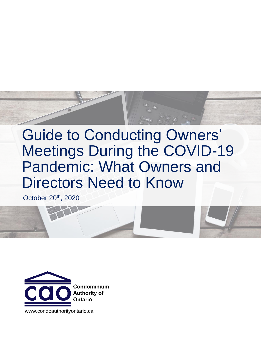

# Guide to Conducting Owners' Meetings During the COVID-19 Pandemic: What Owners and Directors Need to Know

October 20<sup>th</sup>, 2020



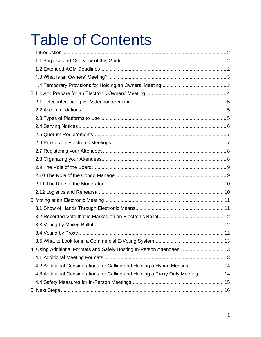# **Table of Contents**

| 4. Using Additional Formats and Safely Hosting In-Person Attendees 13          |  |
|--------------------------------------------------------------------------------|--|
|                                                                                |  |
| 4.2 Additional Considerations for Calling and Holding a Hybrid Meeting  14     |  |
| 4.3 Additional Considerations for Calling and Holding a Proxy Only Meeting  14 |  |
|                                                                                |  |
|                                                                                |  |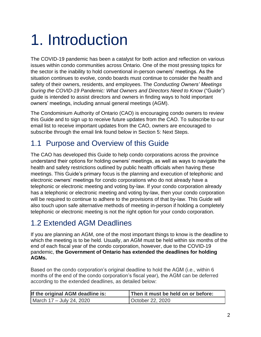# <span id="page-2-0"></span>1. Introduction

The COVID-19 pandemic has been a catalyst for both action and reflection on various issues within condo communities across Ontario. One of the most pressing topics for the sector is the inability to hold conventional in-person owners' meetings. As the situation continues to evolve, condo boards must continue to consider the health and safety of their owners, residents, and employees. The *Conducting Owners' Meetings During the COVID-19 Pandemic: What Owners and Directors Need to Know* ("Guide") guide is intended to assist directors and owners in finding ways to hold important owners' meetings, including annual general meetings (AGM).

The Condominium Authority of Ontario (CAO) is encouraging condo owners to review this Guide and to sign up to receive future updates from the CAO. To subscribe to our email list to receive important updates from the CAO, owners are encouraged to subscribe through the email link found below in Section 5: Next Steps.

# <span id="page-2-1"></span>1.1 Purpose and Overview of this Guide

The CAO has developed this Guide to help condo corporations across the province understand their options for holding owners' meetings, as well as ways to navigate the health and safety restrictions outlined by public health officials when having these meetings. This Guide's primary focus is the planning and execution of telephonic and electronic owners' meetings for condo corporations who do not already have a telephonic or electronic meeting and voting by-law. If your condo corporation already has a telephonic or electronic meeting and voting by-law, then your condo corporation will be required to continue to adhere to the provisions of that by-law. This Guide will also touch upon safe alternative methods of meeting in-person if holding a completely telephonic or electronic meeting is not the right option for your condo corporation.

# <span id="page-2-2"></span>1.2 Extended AGM Deadlines

If you are planning an AGM, one of the most important things to know is the deadline to which the meeting is to be held. Usually, an AGM must be held within six months of the end of each fiscal year of the condo corporation, however, due to the COVID-19 pandemic, **the Government of Ontario has extended the deadlines for holding AGMs.**

Based on the condo corporation's original deadline to hold the AGM (i.e., within 6 months of the end of the condo corporation's fiscal year), the AGM can be deferred according to the extended deadlines, as detailed below:

| If the original AGM deadline is: | Then it must be held on or before: |
|----------------------------------|------------------------------------|
| March 17 – July 24, 2020         | October 22, 2020                   |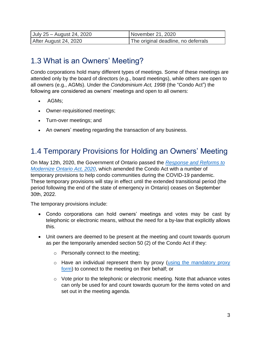| July 25 – August 24, 2020 | November 21, 2020                   |
|---------------------------|-------------------------------------|
| After August 24, 2020     | The original deadline, no deferrals |

# <span id="page-3-0"></span>1.3 What is an Owners' Meeting?

Condo corporations hold many different types of meetings. Some of these meetings are attended only by the board of directors (e.g., board meetings), while others are open to all owners (e.g., AGMs). Under the *Condominium Act, 1998* (the "Condo Act") the following are considered as owners' meetings and open to all owners:

- AGMs;
- Owner-requisitioned meetings;
- Turn-over meetings; and
- An owners' meeting regarding the transaction of any business.

### <span id="page-3-1"></span>1.4 Temporary Provisions for Holding an Owners' Meeting

On May 12th, 2020, the Government of Ontario passed the *[Response and Reforms](https://www.ontario.ca/laws/statute/s20007) to [Modernize Ontario Act, 2020](https://www.ontario.ca/laws/statute/s20007)*, which amended the Condo Act with a number of temporary provisions to help condo communities during the COVID-19 pandemic. These temporary provisions will stay in effect until the extended transitional period (the period following the end of the state of emergency in Ontario) ceases on September 30th, 2022.

The temporary provisions include:

- Condo corporations can hold owners' meetings and votes may be cast by telephonic or electronic means, without the need for a by-law that explicitly allows this.
- Unit owners are deemed to be present at the meeting and count towards quorum as per the temporarily amended section 50 (2) of the Condo Act if they:
	- o Personally connect to the meeting;
	- o Have an individual represent them by proxy [\(using the mandatory proxy](https://www.condoauthorityontario.ca/en-US/resources/government-of-ontario-forms/) [form\)](https://www.condoauthorityontario.ca/en-US/resources/government-of-ontario-forms/) to connect to the meeting on their behalf; or
	- $\circ$  Vote prior to the telephonic or electronic meeting. Note that advance votes can only be used for and count towards quorum for the items voted on and set out in the meeting agenda.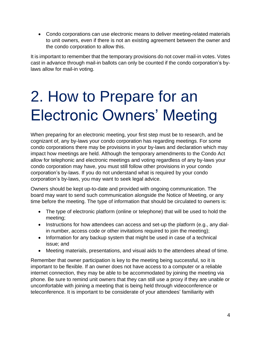• Condo corporations can use electronic means to deliver meeting-related materials to unit owners, even if there is not an existing agreement between the owner and the condo corporation to allow this.

It is important to remember that the temporary provisions do not cover mail-in votes. Votes cast in advance through mail-in ballots can only be counted if the condo corporation's bylaws allow for mail-in voting.

# <span id="page-4-0"></span>2. How to Prepare for an Electronic Owners' Meeting

When preparing for an electronic meeting, your first step must be to research, and be cognizant of, any by-laws your condo corporation has regarding meetings. For some condo corporations there may be provisions in your by-laws and declaration which may impact how meetings are held. Although the temporary amendments to the Condo Act allow for telephonic and electronic meetings and voting regardless of any by-laws your condo corporation may have, you must still follow other provisions in your condo corporation's by-laws. If you do not understand what is required by your condo corporation's by-laws, you may want to seek legal advice.

Owners should be kept up-to-date and provided with ongoing communication. The board may want to send such communication alongside the Notice of Meeting, or any time before the meeting. The type of information that should be circulated to owners is:

- The type of electronic platform (online or telephone) that will be used to hold the meeting;
- Instructions for how attendees can access and set-up the platform (e.g., any dialin number, access code or other invitations required to join the meeting);
- Information for any backup system that might be used in case of a technical issue; and
- Meeting materials, presentations, and visual aids to the attendees ahead of time.

Remember that owner participation is key to the meeting being successful, so it is important to be flexible. If an owner does not have access to a computer or a reliable internet connection, they may be able to be accommodated by joining the meeting via phone. Be sure to remind unit owners that they can still use a proxy if they are unable or uncomfortable with joining a meeting that is being held through videoconference or teleconference. It is important to be considerate of your attendees' familiarity with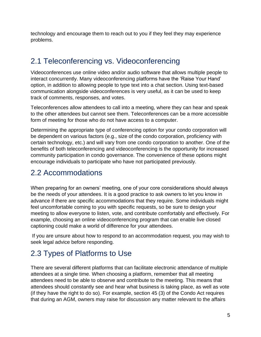technology and encourage them to reach out to you if they feel they may experience problems.

# <span id="page-5-0"></span>2.1 Teleconferencing vs. Videoconferencing

Videoconferences use online video and/or audio software that allows multiple people to interact concurrently. Many videoconferencing platforms have the 'Raise Your Hand' option, in addition to allowing people to type text into a chat section. Using text-based communication alongside videoconferences is very useful, as it can be used to keep track of comments, responses, and votes.

Teleconferences allow attendees to call into a meeting, where they can hear and speak to the other attendees but cannot see them. Teleconferences can be a more accessible form of meeting for those who do not have access to a computer.

Determining the appropriate type of conferencing option for your condo corporation will be dependent on various factors (e.g., size of the condo corporation, proficiency with certain technology, etc.) and will vary from one condo corporation to another. One of the benefits of both teleconferencing and videoconferencing is the opportunity for increased community participation in condo governance. The convenience of these options might encourage individuals to participate who have not participated previously.

# <span id="page-5-1"></span>2.2 Accommodations

When preparing for an owners' meeting, one of your core considerations should always be the needs of your attendees. It is a good practice to ask owners to let you know in advance if there are specific accommodations that they require. Some individuals might feel uncomfortable coming to you with specific requests, so be sure to design your meeting to allow everyone to listen, vote, and contribute comfortably and effectively. For example, choosing an online videoconferencing program that can enable live closed captioning could make a world of difference for your attendees.

If you are unsure about how to respond to an accommodation request, you may wish to seek legal advice before responding.

# <span id="page-5-2"></span>2.3 Types of Platforms to Use

There are several different platforms that can facilitate electronic attendance of multiple attendees at a single time. When choosing a platform, remember that all meeting attendees need to be able to observe and contribute to the meeting. This means that attendees should constantly see and hear what business is taking place, as well as vote (if they have the right to do so). For example, section 45 (3) of the Condo Act requires that during an AGM, owners may raise for discussion any matter relevant to the affairs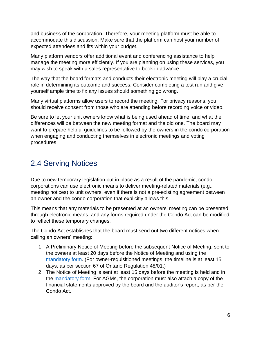and business of the corporation. Therefore, your meeting platform must be able to accommodate this discussion. Make sure that the platform can host your number of expected attendees and fits within your budget.

Many platform vendors offer additional event and conferencing assistance to help manage the meeting more efficiently. If you are planning on using these services, you may wish to speak with a sales representative to book in advance.

The way that the board formats and conducts their electronic meeting will play a crucial role in determining its outcome and success. Consider completing a test run and give yourself ample time to fix any issues should something go wrong.

Many virtual platforms allow users to record the meeting. For privacy reasons, you should receive consent from those who are attending before recording voice or video.

Be sure to let your unit owners know what is being used ahead of time, and what the differences will be between the new meeting format and the old one. The board may want to prepare helpful guidelines to be followed by the owners in the condo corporation when engaging and conducting themselves in electronic meetings and voting procedures.

# <span id="page-6-0"></span>2.4 Serving Notices

Due to new temporary legislation put in place as a result of the pandemic, condo corporations can use electronic means to deliver meeting-related materials (e.g., meeting notices) to unit owners, even if there is not a pre-existing agreement between an owner and the condo corporation that explicitly allows this.

This means that any materials to be presented at an owners' meeting can be presented through electronic means, and any forms required under the Condo Act can be modified to reflect these temporary changes.

The Condo Act establishes that the board must send out two different notices when calling an owners' meeting:

- 1. A Preliminary Notice of Meeting before the subsequent Notice of Meeting, sent to the owners at least 20 days before the Notice of Meeting and using the [mandatory form.](https://www.condoauthorityontario.ca/en-US/resources/government-of-ontario-forms/) (For owner-requisitioned meetings, the timeline is at least 15 days, as per section 67 of Ontario Regulation 48/01.)
- 2. The Notice of Meeting is sent at least 15 days before the meeting is held and in the [mandatory form.](https://www.condoauthorityontario.ca/en-US/resources/government-of-ontario-forms/) For AGMs, the corporation must also attach a copy of the financial statements approved by the board and the auditor's report, as per the Condo Act.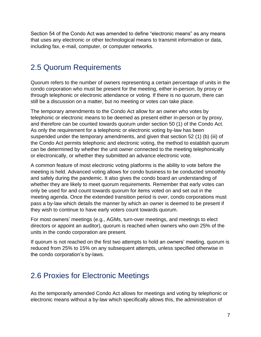Section 54 of the Condo Act was amended to define "electronic means" as any means that uses any electronic or other technological means to transmit information or data, including fax, e-mail, computer, or computer networks.

#### <span id="page-7-0"></span>2.5 Quorum Requirements

Quorum refers to the number of owners representing a certain percentage of units in the condo corporation who must be present for the meeting, either in-person, by proxy or through telephonic or electronic attendance or voting. If there is no quorum, there can still be a discussion on a matter, but no meeting or votes can take place.

The temporary amendments to the Condo Act allow for an owner who votes by telephonic or electronic means to be deemed as present either in-person or by proxy, and therefore can be counted towards quorum under section 50 (1) of the Condo Act. As only the requirement for a telephonic or electronic voting by-law has been suspended under the temporary amendments, and given that section 52 (1) (b) (iii) of the Condo Act permits telephonic and electronic voting, the method to establish quorum can be determined by whether the unit owner connected to the meeting telephonically or electronically, or whether they submitted an advance electronic vote.

A common feature of most electronic voting platforms is the ability to vote before the meeting is held. Advanced voting allows for condo business to be conducted smoothly and safely during the pandemic. It also gives the condo board an understanding of whether they are likely to meet quorum requirements. Remember that early votes can only be used for and count towards quorum for items voted on and set out in the meeting agenda. Once the extended transition period is over, condo corporations must pass a by-law which details the manner by which an owner is deemed to be present if they wish to continue to have early voters count towards quorum.

For most owners' meetings (e.g., AGMs, turn-over meetings, and meetings to elect directors or appoint an auditor), quorum is reached when owners who own 25% of the units in the condo corporation are present.

If quorum is not reached on the first two attempts to hold an owners' meeting, quorum is reduced from 25% to 15% on any subsequent attempts, unless specified otherwise in the condo corporation's by-laws.

### <span id="page-7-1"></span>2.6 Proxies for Electronic Meetings

As the temporarily amended Condo Act allows for meetings and voting by telephonic or electronic means without a by-law which specifically allows this, the administration of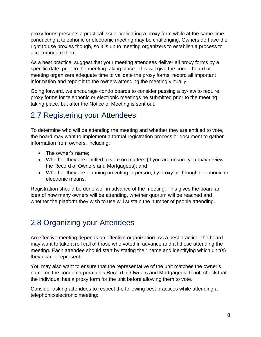proxy forms presents a practical issue. Validating a proxy form while at the same time conducting a telephonic or electronic meeting may be challenging. Owners do have the right to use proxies though, so it is up to meeting organizers to establish a process to accommodate them.

As a best practice, suggest that your meeting attendees deliver all proxy forms by a specific date, prior to the meeting taking place. This will give the condo board or meeting organizers adequate time to validate the proxy forms, record all important information and report it to the owners attending the meeting virtually.

Going forward, we encourage condo boards to consider passing a by-law to require proxy forms for telephonic or electronic meetings be submitted prior to the meeting taking place, but after the Notice of Meeting is sent out.

# <span id="page-8-0"></span>2.7 Registering your Attendees

To determine who will be attending the meeting and whether they are entitled to vote, the board may want to implement a formal registration process or document to gather information from owners, including:

- The owner's name:
- Whether they are entitled to vote on matters (if you are unsure you may review the Record of Owners and Mortgagees); and
- Whether they are planning on voting in-person, by proxy or through telephonic or electronic means.

Registration should be done well in advance of the meeting. This gives the board an idea of how many owners will be attending, whether quorum will be reached and whether the platform they wish to use will sustain the number of people attending.

# <span id="page-8-1"></span>2.8 Organizing your Attendees

An effective meeting depends on effective organization. As a best practice, the board may want to take a roll call of those who voted in advance and all those attending the meeting. Each attendee should start by stating their name and identifying which unit(s) they own or represent.

You may also want to ensure that the representative of the unit matches the owner's name on the condo corporation's Record of Owners and Mortgagees. If not, check that the individual has a proxy form for the unit before allowing them to vote.

Consider asking attendees to respect the following best practices while attending a telephonic/electronic meeting: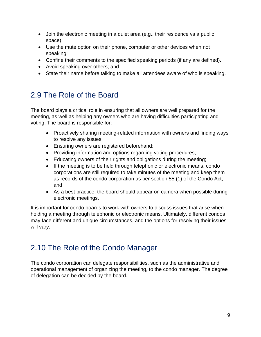- Join the electronic meeting in a quiet area (e.g., their residence vs a public space);
- Use the mute option on their phone, computer or other devices when not speaking;
- Confine their comments to the specified speaking periods (if any are defined).
- Avoid speaking over others; and
- State their name before talking to make all attendees aware of who is speaking.

# <span id="page-9-0"></span>2.9 The Role of the Board

The board plays a critical role in ensuring that all owners are well prepared for the meeting, as well as helping any owners who are having difficulties participating and voting. The board is responsible for:

- Proactively sharing meeting-related information with owners and finding ways to resolve any issues;
- Ensuring owners are registered beforehand;
- Providing information and options regarding voting procedures;
- Educating owners of their rights and obligations during the meeting;
- If the meeting is to be held through telephonic or electronic means, condo corporations are still required to take minutes of the meeting and keep them as records of the condo corporation as per section 55 (1) of the Condo Act; and
- As a best practice, the board should appear on camera when possible during electronic meetings.

It is important for condo boards to work with owners to discuss issues that arise when holding a meeting through telephonic or electronic means. Ultimately, different condos may face different and unique circumstances, and the options for resolving their issues will vary.

# <span id="page-9-1"></span>2.10 The Role of the Condo Manager

The condo corporation can delegate responsibilities, such as the administrative and operational management of organizing the meeting, to the condo manager. The degree of delegation can be decided by the board.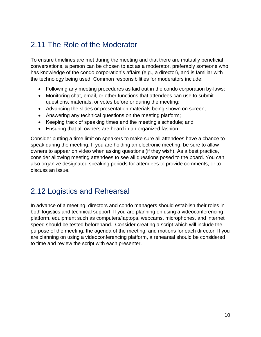# <span id="page-10-0"></span>2.11 The Role of the Moderator

To ensure timelines are met during the meeting and that there are mutually beneficial conversations, a person can be chosen to act as a moderator, preferably someone who has knowledge of the condo corporation's affairs (e.g., a director), and is familiar with the technology being used. Common responsibilities for moderators include:

- Following any meeting procedures as laid out in the condo corporation by-laws;
- Monitoring chat, email, or other functions that attendees can use to submit questions, materials, or votes before or during the meeting;
- Advancing the slides or presentation materials being shown on screen;
- Answering any technical questions on the meeting platform;
- Keeping track of speaking times and the meeting's schedule; and
- Ensuring that all owners are heard in an organized fashion.

Consider putting a time limit on speakers to make sure all attendees have a chance to speak during the meeting. If you are holding an electronic meeting, be sure to allow owners to appear on video when asking questions (if they wish). As a best practice, consider allowing meeting attendees to see all questions posed to the board. You can also organize designated speaking periods for attendees to provide comments, or to discuss an issue.

#### <span id="page-10-1"></span>2.12 Logistics and Rehearsal

In advance of a meeting, directors and condo managers should establish their roles in both logistics and technical support. If you are planning on using a videoconferencing platform, equipment such as computers/laptops, webcams, microphones, and internet speed should be tested beforehand. Consider creating a script which will include the purpose of the meeting, the agenda of the meeting, and motions for each director. If you are planning on using a videoconferencing platform, a rehearsal should be considered to time and review the script with each presenter.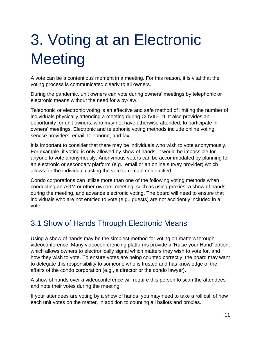# <span id="page-11-0"></span>3. Voting at an Electronic **Meeting**

A vote can be a contentious moment in a meeting. For this reason, it is vital that the voting process is communicated clearly to all owners.

During the pandemic, unit owners can vote during owners' meetings by telephonic or electronic means without the need for a by-law.

Telephonic or electronic voting is an effective and safe method of limiting the number of individuals physically attending a meeting during COVID-19. It also provides an opportunity for unit owners, who may not have otherwise attended, to participate in owners' meetings. Electronic and telephonic voting methods include online voting service providers, email, telephone, and fax.

It is important to consider that there may be individuals who wish to vote anonymously. For example, if voting is only allowed by show of hands, it would be impossible for anyone to vote anonymously. Anonymous voters can be accommodated by planning for an electronic or secondary platform (e.g., email or an online survey provider) which allows for the individual casting the vote to remain unidentified.

Condo corporations can utilize more than one of the following voting methods when conducting an AGM or other owners' meeting, such as using proxies, a show of hands during the meeting, and advance electronic voting. The board will need to ensure that individuals who are not entitled to vote (e.g., guests) are not accidently included in a vote.

# <span id="page-11-1"></span>3.1 Show of Hands Through Electronic Means

Using a show of hands may be the simplest method for voting on matters through videoconference. Many videoconferencing platforms provide a 'Raise your Hand' option, which allows owners to electronically signal which matters they wish to vote for, and how they wish to vote. To ensure votes are being counted correctly, the board may want to delegate this responsibility to someone who is trusted and has knowledge of the affairs of the condo corporation (e.g., a director or the condo lawyer).

A show of hands over a videoconference will require this person to scan the attendees and note their votes during the meeting.

If your attendees are voting by a show of hands, you may need to take a roll call of how each unit votes on the matter, in addition to counting all ballots and proxies.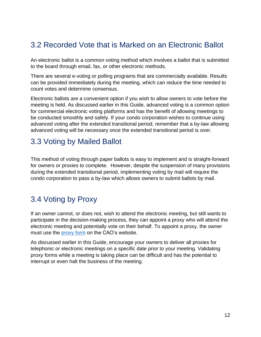# <span id="page-12-0"></span>3.2 Recorded Vote that is Marked on an Electronic Ballot

An electronic ballot is a common voting method which involves a ballot that is submitted to the board through email, fax, or other electronic methods.

There are several e-voting or polling programs that are commercially available. Results can be provided immediately during the meeting, which can reduce the time needed to count votes and determine consensus.

Electronic ballots are a convenient option if you wish to allow owners to vote before the meeting is held. As discussed earlier in this Guide, advanced voting is a common option for commercial electronic voting platforms and has the benefit of allowing meetings to be conducted smoothly and safely. If your condo corporation wishes to continue using advanced voting after the extended transitional period, remember that a by-law allowing advanced voting will be necessary once the extended transitional period is over.

#### <span id="page-12-1"></span>3.3 Voting by Mailed Ballot

This method of voting through paper ballots is easy to implement and is straight-forward for owners or proxies to complete. However, despite the suspension of many provisions during the extended transitional period, implementing voting by mail will require the condo corporation to pass a by-law which allows owners to submit ballots by mail.

# <span id="page-12-2"></span>3.4 Voting by Proxy

If an owner cannot, or does not, wish to attend the electronic meeting, but still wants to participate in the decision-making process, they can appoint a proxy who will attend the electronic meeting and potentially vote on their behalf. To appoint a proxy, the owner must use the [proxy](https://www.condoauthorityontario.ca/resources/condominium-forms/) form on the CAO's website.

As discussed earlier in this Guide, encourage your owners to deliver all proxies for telephonic or electronic meetings on a specific date prior to your meeting. Validating proxy forms while a meeting is taking place can be difficult and has the potential to interrupt or even halt the business of the meeting.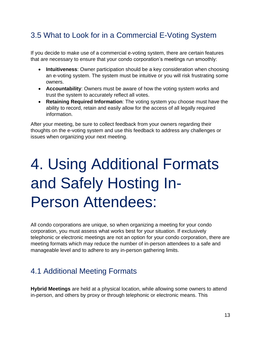# <span id="page-13-0"></span>3.5 What to Look for in a Commercial E-Voting System

If you decide to make use of a commercial e-voting system, there are certain features that are necessary to ensure that your condo corporation's meetings run smoothly:

- **Intuitiveness**: Owner participation should be a key consideration when choosing an e-voting system. The system must be intuitive or you will risk frustrating some owners.
- **Accountability**: Owners must be aware of how the voting system works and trust the system to accurately reflect all votes.
- **Retaining Required Information**: The voting system you choose must have the ability to record, retain and easily allow for the access of all legally required information.

After your meeting, be sure to collect feedback from your owners regarding their thoughts on the e-voting system and use this feedback to address any challenges or issues when organizing your next meeting.

# <span id="page-13-1"></span>4. Using Additional Formats and Safely Hosting In-Person Attendees:

All condo corporations are unique, so when organizing a meeting for your condo corporation, you must assess what works best for your situation. If exclusively telephonic or electronic meetings are not an option for your condo corporation, there are meeting formats which may reduce the number of in-person attendees to a safe and manageable level and to adhere to any in-person gathering limits.

### <span id="page-13-2"></span>4.1 Additional Meeting Formats

**Hybrid Meetings** are held at a physical location, while allowing some owners to attend in-person, and others by proxy or through telephonic or electronic means. This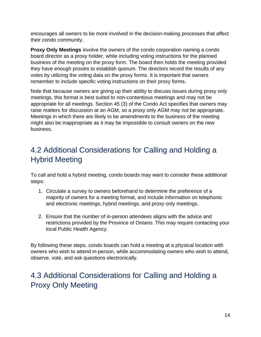encourages all owners to be more involved in the decision-making processes that affect their condo community.

**Proxy Only Meetings** involve the owners of the condo corporation naming a condo board director as a proxy holder, while including voting instructions for the planned business of the meeting on the proxy form. The board then holds the meeting provided they have enough proxies to establish quorum. The directors record the results of any votes by utilizing the voting data on the proxy forms. It is important that owners remember to include specific voting instructions on their proxy forms.

Note that because owners are giving up their ability to discuss issues during proxy only meetings, this format is best suited to non-contentious meetings and may not be appropriate for all meetings. Section 45 (3) of the Condo Act specifies that owners may raise matters for discussion at an AGM, so a proxy only AGM may not be appropriate. Meetings in which there are likely to be amendments to the business of the meeting might also be inappropriate as it may be impossible to consult owners on the new business.

# <span id="page-14-0"></span>4.2 Additional Considerations for Calling and Holding a Hybrid Meeting

To call and hold a hybrid meeting, condo boards may want to consider these additional steps:

- 1. Circulate a survey to owners beforehand to determine the preference of a majority of owners for a meeting format, and include information on telephonic and electronic meetings, hybrid meetings, and proxy only meetings.
- 2. Ensure that the number of in-person attendees aligns with the advice and restrictions provided by the Province of Ontario. This may require contacting your local Public Health Agency.

By following these steps, condo boards can hold a meeting at a physical location with owners who wish to attend in-person, while accommodating owners who wish to attend, observe, vote, and ask questions electronically.

# <span id="page-14-1"></span>4.3 Additional Considerations for Calling and Holding a Proxy Only Meeting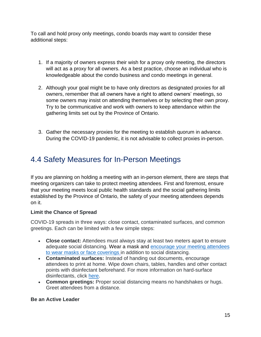To call and hold proxy only meetings, condo boards may want to consider these additional steps:

- 1. If a majority of owners express their wish for a proxy only meeting, the directors will act as a proxy for all owners. As a best practice, choose an individual who is knowledgeable about the condo business and condo meetings in general.
- 2. Although your goal might be to have only directors as designated proxies for all owners, remember that all owners have a right to attend owners' meetings, so some owners may insist on attending themselves or by selecting their own proxy. Try to be communicative and work with owners to keep attendance within the gathering limits set out by the Province of Ontario.
- 3. Gather the necessary proxies for the meeting to establish quorum in advance. During the COVID-19 pandemic, it is not advisable to collect proxies in-person.

# <span id="page-15-0"></span>4.4 Safety Measures for In-Person Meetings

If you are planning on holding a meeting with an in-person element, there are steps that meeting organizers can take to protect meeting attendees. First and foremost, [ensure](https://www.condoauthorityontario.ca/condominium-living/meetings-voting/new-government-emergency-order-for-condo-meetings/)  [that your meeting meets local public health standards](https://www.condoauthorityontario.ca/condominium-living/meetings-voting/new-government-emergency-order-for-condo-meetings/) and the social gathering limits established by the Province of Ontario, the safety of your meeting attendees depends on it.

#### **Limit the Chance of Spread**

COVID-19 spreads in three ways: close contact, contaminated surfaces, and common greetings. Each can be limited with a few simple steps:

- **Close contact:** Attendees must always stay at least two meters apart to ensure adequate social distancing. Wear a mask and [encourage your meeting attendees](https://www.condoauthorityontario.ca/news-media/masks-and-face-coverings-what-condo-owners-need-to-know/)  [to wear masks or face coverings](https://www.condoauthorityontario.ca/news-media/masks-and-face-coverings-what-condo-owners-need-to-know/) in addition to social distancing.
- **Contaminated surfaces:** Instead of handing out documents, encourage attendees to print at home. Wipe down chairs, tables, handles and other contact points with disinfectant beforehand. For more information on hard-surface disinfectants, click [here.](https://www.canada.ca/en/health-canada/services/drugs-health-products/disinfectants/covid-19/list.html)
- **Common greetings:** Proper social distancing means no handshakes or hugs. Greet attendees from a distance.

#### **Be an Active Leader**